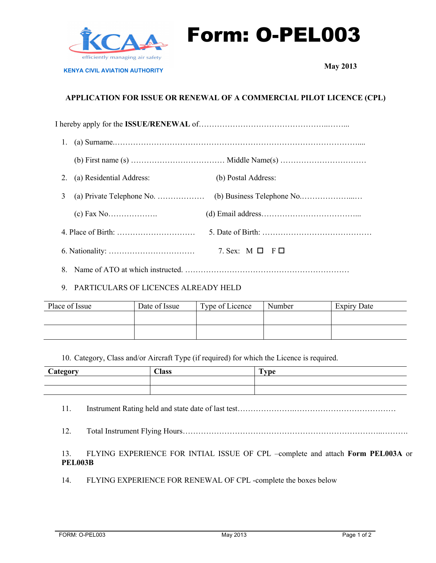

Form: O-PEL003

**KENYA CIVIL AVIATION AUTHORITY**

**May 2013**

# **APPLICATION FOR ISSUE OR RENEWAL OF A COMMERCIAL PILOT LICENCE (CPL)**

| 2. | (a) Residential Address:                                             | (b) Postal Address:     |  |  |  |  |  |
|----|----------------------------------------------------------------------|-------------------------|--|--|--|--|--|
| 3  | (a) Private Telephone No. $\dots\dots\dots\dots\dots\dots$           |                         |  |  |  |  |  |
|    |                                                                      |                         |  |  |  |  |  |
|    | 4. Place of Birth: $\dots \dots \dots \dots \dots \dots \dots \dots$ |                         |  |  |  |  |  |
|    |                                                                      | 7. Sex: $M \Box F \Box$ |  |  |  |  |  |

8. Name of ATO at which instructed. ………………………………………………………

## 9. PARTICULARS OF LICENCES ALREADY HELD

| Place of Issue | Date of Issue | Type of Licence | Number | <b>Expiry Date</b> |
|----------------|---------------|-----------------|--------|--------------------|
|                |               |                 |        |                    |
|                |               |                 |        |                    |

10. Category, Class and/or Aircraft Type (if required) for which the Licence is required.

| <b>Category</b> | <b>Class</b> | Type |
|-----------------|--------------|------|
|                 |              |      |
|                 |              |      |

- 11. Instrument Rating held and state date of last test……………………………………………………………………
- 12. Total Instrument Flying Hours…………………………………………………………………..……….

## 13. FLYING EXPERIENCE FOR INTIAL ISSUE OF CPL –complete and attach **Form PEL003A** or **PEL003B**

14. FLYING EXPERIENCE FOR RENEWAL OF CPL -complete the boxes below